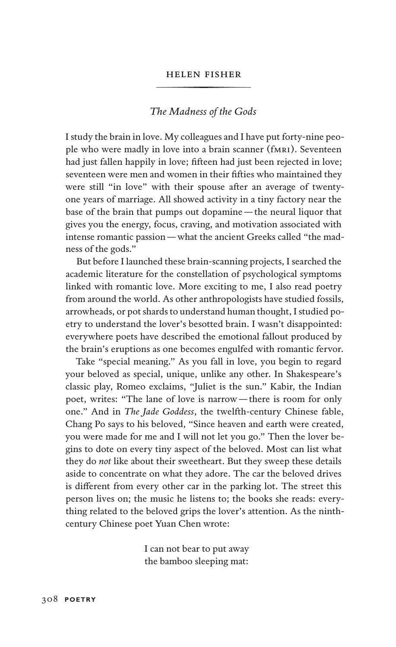## helen fisher

## *The Madness of the Gods*

I study the brain in love. My colleagues and I have put forty-nine people who were madly in love into a brain scanner (fmri). Seventeen had just fallen happily in love; fifteen had just been rejected in love; seventeen were men and women in their fifties who maintained they were still "in love" with their spouse after an average of twentyone years of marriage. All showed activity in a tiny factory near the base of the brain that pumps out dopamine—the neural liquor that gives you the energy, focus, craving, and motivation associated with intense romantic passion—what the ancient Greeks called "the madness of the gods."

But before I launched these brain-scanning projects, I searched the academic literature for the constellation of psychological symptoms linked with romantic love. More exciting to me, I also read poetry from around the world. As other anthropologists have studied fossils, arrowheads, or pot shards to understand human thought, I studied poetry to understand the lover's besotted brain. I wasn't disappointed: everywhere poets have described the emotional fallout produced by the brain's eruptions as one becomes engulfed with romantic fervor.

 Take "special meaning." As you fall in love, you begin to regard your beloved as special, unique, unlike any other. In Shakespeare's classic play, Romeo exclaims, "Juliet is the sun." Kabir, the Indian poet, writes: "The lane of love is narrow—there is room for only one." And in *The Jade Goddess*, the twelfth-century Chinese fable, Chang Po says to his beloved, "Since heaven and earth were created, you were made for me and I will not let you go." Then the lover begins to dote on every tiny aspect of the beloved. Most can list what they do *not* like about their sweetheart. But they sweep these details aside to concentrate on what they adore. The car the beloved drives is different from every other car in the parking lot. The street this person lives on; the music he listens to; the books she reads: everything related to the beloved grips the lover's attention. As the ninthcentury Chinese poet Yuan Chen wrote:

> I can not bear to put away the bamboo sleeping mat: